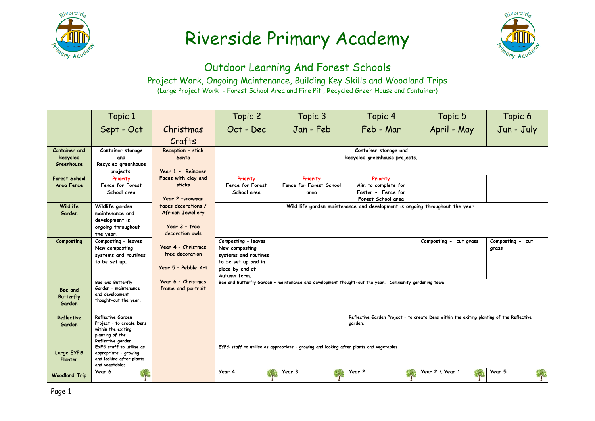



#### Outdoor Learning And Forest Schools

Project Work, Ongoing Maintenance, Building Key Skills and Woodland Trips

(Large Project Work - Forest School Area and Fire Pit , Recycled Green House and Container)

|                        | Topic 1                                        |                                  | Topic 2                                                                      | Topic 3                                                                                | Topic 4                                                                                                | Topic 5                | Topic 6          |  |
|------------------------|------------------------------------------------|----------------------------------|------------------------------------------------------------------------------|----------------------------------------------------------------------------------------|--------------------------------------------------------------------------------------------------------|------------------------|------------------|--|
|                        | Sept - Oct                                     | Christmas                        | Oct - Dec                                                                    | Jan - Feb                                                                              | Feb - Mar                                                                                              | April - May            | Jun - July       |  |
|                        |                                                | Crafts                           |                                                                              |                                                                                        |                                                                                                        |                        |                  |  |
| Container and          | Container storage                              | Reception - stick                |                                                                              |                                                                                        | Container storage and                                                                                  |                        |                  |  |
| Recycled<br>Greenhouse | and<br>Recycled greenhouse                     | Santa                            | Recycled greenhouse projects.                                                |                                                                                        |                                                                                                        |                        |                  |  |
|                        | projects.                                      | Year 1 - Reindeer                |                                                                              |                                                                                        |                                                                                                        |                        |                  |  |
| <b>Forest School</b>   | Priority                                       | Faces with clay and              | Priority                                                                     | Priority                                                                               | Priority                                                                                               |                        |                  |  |
| Area Fence             | Fence for Forest                               | sticks                           | Fence for Forest                                                             | Fence for Forest School                                                                | Aim to complete for                                                                                    |                        |                  |  |
|                        | School area                                    |                                  | School area                                                                  | area                                                                                   | Easter - Fence for                                                                                     |                        |                  |  |
|                        |                                                | Year 2 -snowman                  |                                                                              |                                                                                        | Forest School area                                                                                     |                        |                  |  |
| Wildlife               | Wildlife garden                                | faces decorations /              | Wild life garden maintenance and development is ongoing throughout the year. |                                                                                        |                                                                                                        |                        |                  |  |
| Garden                 | maintenance and                                | <b>African Jewellery</b>         |                                                                              |                                                                                        |                                                                                                        |                        |                  |  |
|                        | development is                                 |                                  |                                                                              |                                                                                        |                                                                                                        |                        |                  |  |
|                        | ongoing throughout                             | Year 3 - tree<br>decoration owls |                                                                              |                                                                                        |                                                                                                        |                        |                  |  |
|                        | the year.                                      |                                  |                                                                              |                                                                                        |                                                                                                        |                        |                  |  |
| Composting             | Composting - leaves<br>New composting          | Year 4 - Christmas               | Composting - leaves<br>New composting                                        |                                                                                        |                                                                                                        | Composting - cut grass | Composting - cut |  |
|                        | systems and routines                           | tree decoration                  | systems and routines                                                         |                                                                                        |                                                                                                        |                        | grass            |  |
|                        | to be set up.                                  |                                  | to be set up and in                                                          |                                                                                        |                                                                                                        |                        |                  |  |
|                        |                                                | Year 5 - Pebble Art              | place by end of                                                              |                                                                                        |                                                                                                        |                        |                  |  |
|                        |                                                |                                  | Autumn term.                                                                 |                                                                                        |                                                                                                        |                        |                  |  |
|                        | Bee and Butterfly                              | Year 6 - Christmas               |                                                                              |                                                                                        | Bee and Butterfly Garden - maintenance and development thought-out the year. Community gardening team. |                        |                  |  |
| Bee and                | Garden - maintenance                           | frame and portrait               |                                                                              |                                                                                        |                                                                                                        |                        |                  |  |
| <b>Butterfly</b>       | and development                                |                                  |                                                                              |                                                                                        |                                                                                                        |                        |                  |  |
| Garden                 | thought-out the year.                          |                                  |                                                                              |                                                                                        |                                                                                                        |                        |                  |  |
|                        |                                                |                                  |                                                                              |                                                                                        |                                                                                                        |                        |                  |  |
| <b>Reflective</b>      | Reflective Garden                              |                                  |                                                                              |                                                                                        | Reflective Garden Project - to create Dens within the exiting planting of the Reflective               |                        |                  |  |
| Garden                 | Project - to create Dens<br>within the exiting |                                  |                                                                              |                                                                                        | garden.                                                                                                |                        |                  |  |
|                        | planting of the                                |                                  |                                                                              |                                                                                        |                                                                                                        |                        |                  |  |
|                        | Reflective garden.                             |                                  |                                                                              |                                                                                        |                                                                                                        |                        |                  |  |
|                        | EYFS staff to utilise as                       |                                  |                                                                              | EYFS staff to utilise as appropriate - growing and looking after plants and vegetables |                                                                                                        |                        |                  |  |
| Large EYFS             | appropriate - growing                          |                                  |                                                                              |                                                                                        |                                                                                                        |                        |                  |  |
| Planter                | and looking after plants<br>and vegetables     |                                  |                                                                              |                                                                                        |                                                                                                        |                        |                  |  |
|                        | Year 6                                         |                                  | Year 4                                                                       | Year 3                                                                                 | Year 2                                                                                                 | Year 2 \ Year 1        | Year 5           |  |
| <b>Woodland Trip</b>   |                                                |                                  |                                                                              |                                                                                        |                                                                                                        |                        |                  |  |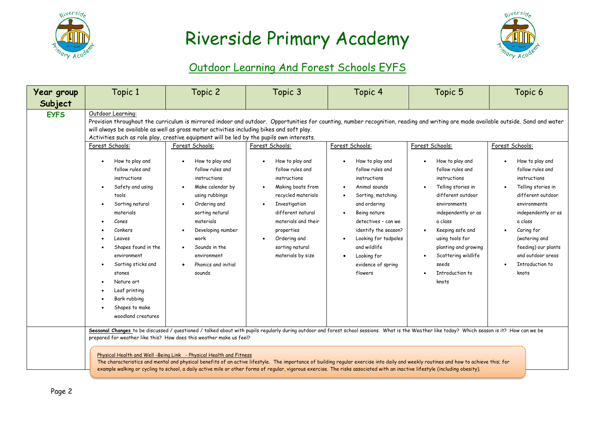



### Outdoor Learning And Forest Schools EYFS

| Year group  | Topic 1                                                                                                                                                                                                                      | Topic 2                                                                                                                                                                                                                                                                                                                                                                                                             | Topic 3                                                                                                                                                                                                                                                                                                                                                                                                                                                                                                                                                                 | Topic 4                                                                                                                                                                                                                                            | Topic 5                                                                                                                                                                                                                                                                | Topic 6                                                                                                                                                                                                                                        |
|-------------|------------------------------------------------------------------------------------------------------------------------------------------------------------------------------------------------------------------------------|---------------------------------------------------------------------------------------------------------------------------------------------------------------------------------------------------------------------------------------------------------------------------------------------------------------------------------------------------------------------------------------------------------------------|-------------------------------------------------------------------------------------------------------------------------------------------------------------------------------------------------------------------------------------------------------------------------------------------------------------------------------------------------------------------------------------------------------------------------------------------------------------------------------------------------------------------------------------------------------------------------|----------------------------------------------------------------------------------------------------------------------------------------------------------------------------------------------------------------------------------------------------|------------------------------------------------------------------------------------------------------------------------------------------------------------------------------------------------------------------------------------------------------------------------|------------------------------------------------------------------------------------------------------------------------------------------------------------------------------------------------------------------------------------------------|
| Subject     |                                                                                                                                                                                                                              |                                                                                                                                                                                                                                                                                                                                                                                                                     |                                                                                                                                                                                                                                                                                                                                                                                                                                                                                                                                                                         |                                                                                                                                                                                                                                                    |                                                                                                                                                                                                                                                                        |                                                                                                                                                                                                                                                |
| <b>EYFS</b> | Outdoor Learning:<br>Forest Schools:<br>How to play and<br>follow rules and<br>instructions<br>Safety and using<br>tools<br>Sorting natural<br>materials<br>Cones<br>Conkers<br>Leaves<br>Shapes found in the<br>environment | will always be available as well as gross motor activities including bikes and soft play.<br>Activities such as role play, creative equipment will be led by the pupils own interests.<br>Forest Schools:<br>How to play and<br>follow rules and<br>instructions<br>Make calendar by<br>using rubbings<br>Ordering and<br>sorting natural<br>materials<br>Developing number<br>work<br>Sounds in the<br>environment | Provision throughout the curriculum is mirrored indoor and outdoor. Opportunities for counting, number recognition, reading and writing are made available outside. Sand and water<br>Forest Schools:<br>How to play and<br>follow rules and<br>instructions<br>Making boats from<br>recycled materials<br>Investigation<br>different natural<br>materials and their<br>properties<br>Ordering and<br>sorting natural<br>materials by size                                                                                                                              | Forest Schools:<br>How to play and<br>follow rules and<br>instructions<br>Animal sounds<br>Sorting, matching<br>and ordering<br>Being nature<br>detectives - can we<br>identify the season?<br>Looking for tadpoles<br>and wildlife<br>Looking for | Forest Schools:<br>How to play and<br>follow rules and<br>instructions<br>Telling stories in<br>different outdoor<br>environments<br>independently or as<br>a class<br>Keeping safe and<br>$\bullet$<br>using tools for<br>planting and growing<br>Scattering wildlife | Forest Schools:<br>How to play and<br>follow rules and<br>instructions<br>Telling stories in<br>different outdoor<br>environments<br>independently or as<br>a class<br>Caring for<br>(watering and<br>feeding) our plants<br>and outdoor areas |
|             | Sorting sticks and<br>stones<br>Nature art<br>Leaf printing<br>Bark rubbing<br>Shapes to make<br>woodland creatures                                                                                                          | Phonics and initial<br>sounds<br>prepared for weather like this? How does this weather make us feel?<br>Physical Health and Well -Being Link - Physical Health and Fitness                                                                                                                                                                                                                                          | Seasonal Changes to be discussed / questioned / talked about with pupils reqularly during outdoor and forest school sessions. What is the Weather like today? Which season is it? How can we be<br>The characteristics and mental and physical benefits of an active lifestyle. The importance of building regular exercise into daily and weekly routines and how to achieve this; for<br>example walking or cycling to school, a daily active mile or other forms of regular, vigorous exercise. The risks associated with an inactive lifestyle (including obesity). | evidence of spring<br>flowers                                                                                                                                                                                                                      | seeds<br><b>Introduction to</b><br>knots                                                                                                                                                                                                                               | Introduction to<br>knots                                                                                                                                                                                                                       |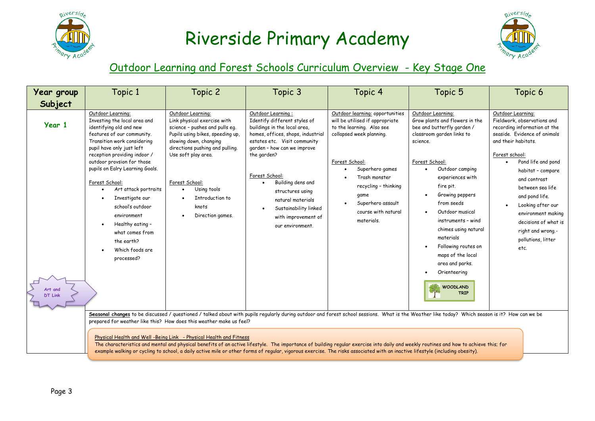



#### Outdoor Learning and Forest Schools Curriculum Overview - Key Stage One

| Year group                | Topic 1                                                                                                                                                                                                                                                                                                                                                                                                                                                       | Topic 2                                                                                                                                                                                                                                                                                     | Topic 3                                                                                                                                                                                                                                                                                                                                                              | Topic 4                                                                                                                                                                                                                                                                     | Topic 5                                                                                                                                                                                                                                                                                                                                                                        | Topic 6                                                                                                                                                                                                                                                                                                                                                                          |
|---------------------------|---------------------------------------------------------------------------------------------------------------------------------------------------------------------------------------------------------------------------------------------------------------------------------------------------------------------------------------------------------------------------------------------------------------------------------------------------------------|---------------------------------------------------------------------------------------------------------------------------------------------------------------------------------------------------------------------------------------------------------------------------------------------|----------------------------------------------------------------------------------------------------------------------------------------------------------------------------------------------------------------------------------------------------------------------------------------------------------------------------------------------------------------------|-----------------------------------------------------------------------------------------------------------------------------------------------------------------------------------------------------------------------------------------------------------------------------|--------------------------------------------------------------------------------------------------------------------------------------------------------------------------------------------------------------------------------------------------------------------------------------------------------------------------------------------------------------------------------|----------------------------------------------------------------------------------------------------------------------------------------------------------------------------------------------------------------------------------------------------------------------------------------------------------------------------------------------------------------------------------|
| Subject                   |                                                                                                                                                                                                                                                                                                                                                                                                                                                               |                                                                                                                                                                                                                                                                                             |                                                                                                                                                                                                                                                                                                                                                                      |                                                                                                                                                                                                                                                                             |                                                                                                                                                                                                                                                                                                                                                                                |                                                                                                                                                                                                                                                                                                                                                                                  |
| Year 1                    | Outdoor Learning:<br>Investing the local area and<br>identifying old and new<br>features of our community.<br>Transition work considering<br>pupil have only just left<br>reception providing indoor /<br>outdoor provsion for those<br>pupils on Ealry Learning Goals.<br>Forest School:<br>Art attack portraits<br>Investigate our<br>school's outdoor<br>environment<br>Healthy eating -<br>what comes from<br>the earth?<br>Which foods are<br>processed? | Outdoor Learning:<br>Link physical exercise with<br>science - pushes and pulls eq.<br>Pupils using bikes, speeding up,<br>slowing down, changing<br>directions pushing and pulling.<br>Use soft play area.<br>Forest School:<br>Using tools<br>Introduction to<br>knots<br>Direction games. | Outdoor Learning:<br>Identify different styles of<br>buildings in the local area,<br>homes, offices, shops, industrial<br>estates etc. Visit community<br>garden - how can we improve<br>the garden?<br>Forest School:<br>Building dens and<br>structures using<br>natural materials<br>Sustainability linked<br>with improvement of<br>our environment.             | Outdoor learning: opportunities<br>will be utilised if appropriate<br>to the learning. Also see<br>collapsed week planning.<br>Forest School:<br>Superhero games<br>Trash monster<br>recycling - thinking<br>game<br>Superhero assault<br>course with natural<br>materials. | Outdoor Learning:<br>Grow plants and flowers in the<br>bee and butterfly garden /<br>classroom garden links to<br>science.<br>Forest School:<br>Outdoor camping<br>experiences with<br>fire pit.<br>Growing peppers<br>from seeds<br>Outdoor musical<br>instruments - wind<br>chimes using natural<br>materials<br>Following routes on<br>maps of the local<br>area and parks. | Outdoor Learning:<br>Fieldwork, observations and<br>recording information at the<br>seaside. Evidence of animals<br>and their habitats.<br>Forest school:<br>Pond life and pond<br>habitat - compare<br>and contrast<br>between sea life<br>and pond life.<br>Looking after our<br>environment making<br>decisions of what is<br>right and wrong.-<br>pollutions, litter<br>etc. |
| Art and<br><b>DT Link</b> |                                                                                                                                                                                                                                                                                                                                                                                                                                                               | prepared for weather like this? How does this weather make us feel?<br>Physical Health and Well -Being Link - Physical Health and Fitness                                                                                                                                                   | Seasonal changes to be discussed / questioned / talked about with pupils regularly during outdoor and forest school sessions. What is the Weather like today? Which season is it? How can we be                                                                                                                                                                      |                                                                                                                                                                                                                                                                             | Orienteering<br><b>WOODLAND</b><br>TRTP                                                                                                                                                                                                                                                                                                                                        |                                                                                                                                                                                                                                                                                                                                                                                  |
|                           |                                                                                                                                                                                                                                                                                                                                                                                                                                                               |                                                                                                                                                                                                                                                                                             | The characteristics and mental and physical benefits of an active lifestyle. The importance of building regular exercise into daily and weekly routines and how to achieve this; for<br>example walking or cycling to school, a daily active mile or other forms of regular, vigorous exercise. The risks associated with an inactive lifestyle (including obesity). |                                                                                                                                                                                                                                                                             |                                                                                                                                                                                                                                                                                                                                                                                |                                                                                                                                                                                                                                                                                                                                                                                  |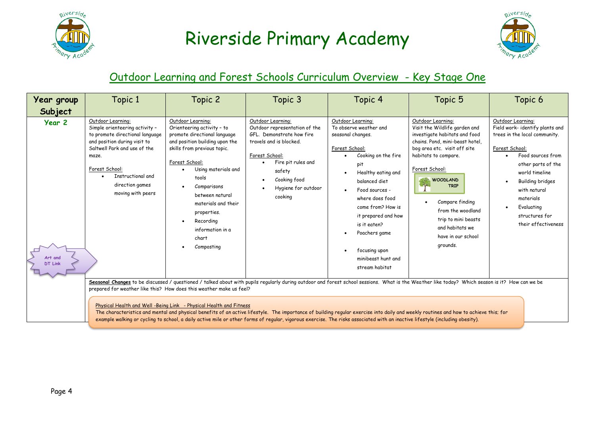



#### Outdoor Learning and Forest Schools Curriculum Overview - Key Stage One

| Year group<br>Subject               | Topic 1                                                                                                                                                                                                                                                                                                                                                                                                                                                                                                                                                                                                                                                                                                              | Topic 2                                                                                                                                                                                                                                                                                                                            | Topic 3                                                                                                                                                                                                        | Topic 4                                                                                                                                                                                                                                                                                                                            | Topic 5                                                                                                                                                                                                                                                                                                                                                | Topic 6                                                                                                                                                                                                                                                                                                       |  |  |
|-------------------------------------|----------------------------------------------------------------------------------------------------------------------------------------------------------------------------------------------------------------------------------------------------------------------------------------------------------------------------------------------------------------------------------------------------------------------------------------------------------------------------------------------------------------------------------------------------------------------------------------------------------------------------------------------------------------------------------------------------------------------|------------------------------------------------------------------------------------------------------------------------------------------------------------------------------------------------------------------------------------------------------------------------------------------------------------------------------------|----------------------------------------------------------------------------------------------------------------------------------------------------------------------------------------------------------------|------------------------------------------------------------------------------------------------------------------------------------------------------------------------------------------------------------------------------------------------------------------------------------------------------------------------------------|--------------------------------------------------------------------------------------------------------------------------------------------------------------------------------------------------------------------------------------------------------------------------------------------------------------------------------------------------------|---------------------------------------------------------------------------------------------------------------------------------------------------------------------------------------------------------------------------------------------------------------------------------------------------------------|--|--|
| Year 2<br>Art and<br><b>DT Link</b> | Outdoor Learning:<br>Simple orienteering activity -<br>to promote directional language<br>and position during visit to<br>Saltwell Park and use of the<br>maze.<br>Forest School:<br>Instructional and<br>direction games<br>moving with peers                                                                                                                                                                                                                                                                                                                                                                                                                                                                       | Outdoor Learning:<br>Orienteering activity - to<br>promote directional language<br>and position building upon the<br>skills from previous topic.<br>Forest School:<br>Using materials and<br>tools<br>Comparisons<br>between natural<br>materials and their<br>properties.<br>Recording<br>information in a<br>chart<br>Composting | Outdoor Learning:<br>Outdoor representation of the<br>GFL. Demonstrate how fire<br>travels and is blocked.<br>Forest School:<br>Fire pit rules and<br>safety<br>Cooking food<br>Hygiene for outdoor<br>cooking | Outdoor Learning:<br>To observe weather and<br>seasonal changes.<br>Forest School:<br>Cooking on the fire<br>pit<br>Healthy eating and<br>balanced diet<br>Food sources -<br>where does food<br>come from? How is<br>it prepared and how<br>is it eaten?<br>Poachers game<br>focusing upon<br>minibeast hunt and<br>stream habitat | Outdoor Learning:<br>Visit the Wildlife garden and<br>investigate habitats and food<br>chains. Pond, mini-beast hotel,<br>bog area etc. visit off site<br>habitats to compare.<br>Forest School:<br><b>WOODLAND</b><br><b>TRIP</b><br>Compare finding<br>from the woodland<br>trip to mini beasts<br>and habitats we<br>have in our school<br>grounds. | Outdoor Learning:<br>Field work- identify plants and<br>trees in the local community.<br>Forest School:<br>Food sources from<br>$\bullet$<br>other parts of the<br>world timeline<br><b>Building bridges</b><br>$\bullet$<br>with natural<br>materials<br>Evaluating<br>structures for<br>their effectiveness |  |  |
|                                     | Seasonal Changes to be discussed / questioned / talked about with pupils regularly during outdoor and forest school sessions. What is the Weather like today? Which season is it? How can we be<br>prepared for weather like this? How does this weather make us feel?<br>Physical Health and Well -Being Link - Physical Health and Fitness<br>The characteristics and mental and physical benefits of an active lifestyle. The importance of building regular exercise into daily and weekly routines and how to achieve this; for<br>example walking or cycling to school, a daily active mile or other forms of regular, vigorous exercise. The risks associated with an inactive lifestyle (including obesity). |                                                                                                                                                                                                                                                                                                                                    |                                                                                                                                                                                                                |                                                                                                                                                                                                                                                                                                                                    |                                                                                                                                                                                                                                                                                                                                                        |                                                                                                                                                                                                                                                                                                               |  |  |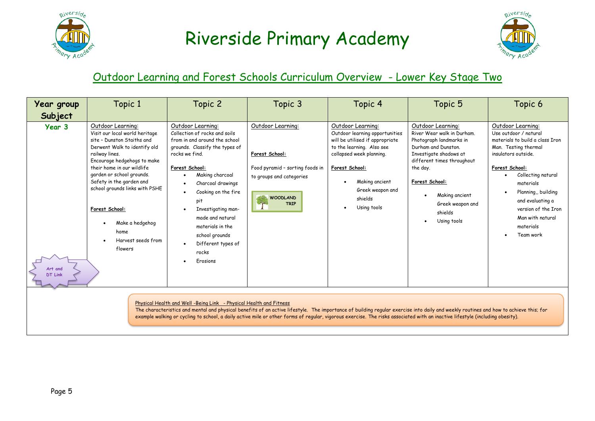



#### Outdoor Learning and Forest Schools Curriculum Overview - Lower Key Stage Two

| Year group                                                                                                                                                                                                                                                                                                                                                                                                                                 | Topic 1                                                                                                                                                                                                                                                                                                                                                                   | Topic 2                                                                                                                                                                                                                                                                                                                                                    | Topic 3                                                                                                                              | Topic 4                                                                                                                                                                                                                           | Topic 5                                                                                                                                                                                                                                                 | Topic 6                                                                                                                                                                                                                                                                                          |  |
|--------------------------------------------------------------------------------------------------------------------------------------------------------------------------------------------------------------------------------------------------------------------------------------------------------------------------------------------------------------------------------------------------------------------------------------------|---------------------------------------------------------------------------------------------------------------------------------------------------------------------------------------------------------------------------------------------------------------------------------------------------------------------------------------------------------------------------|------------------------------------------------------------------------------------------------------------------------------------------------------------------------------------------------------------------------------------------------------------------------------------------------------------------------------------------------------------|--------------------------------------------------------------------------------------------------------------------------------------|-----------------------------------------------------------------------------------------------------------------------------------------------------------------------------------------------------------------------------------|---------------------------------------------------------------------------------------------------------------------------------------------------------------------------------------------------------------------------------------------------------|--------------------------------------------------------------------------------------------------------------------------------------------------------------------------------------------------------------------------------------------------------------------------------------------------|--|
| Subject                                                                                                                                                                                                                                                                                                                                                                                                                                    |                                                                                                                                                                                                                                                                                                                                                                           |                                                                                                                                                                                                                                                                                                                                                            |                                                                                                                                      |                                                                                                                                                                                                                                   |                                                                                                                                                                                                                                                         |                                                                                                                                                                                                                                                                                                  |  |
| Year 3<br>Art and<br><b>DT Link</b>                                                                                                                                                                                                                                                                                                                                                                                                        | Outdoor Learning:<br>Visit our local world heritage<br>site - Dunston Staiths and<br>Derwent Walk to identify old<br>railway lines.<br>Encourage hedgehogs to make<br>their home in our wildlife<br>garden or school grounds.<br>Safety in the garden and<br>school grounds links with PSHE<br>Forest School:<br>Make a hedgehog<br>home<br>Harvest seeds from<br>flowers | Outdoor Learning:<br>Collection of rocks and soils<br>from in and around the school<br>grounds. Classify the types of<br>rocks we find.<br>Forest School:<br>Making charcoal<br>Charcoal drawings<br>Cooking on the fire<br>pit<br>Investigating man-<br>made and natural<br>materials in the<br>school grounds<br>Different types of<br>rocks<br>Erosions | Outdoor Learning:<br>Forest School:<br>Food pyramid - sorting foods in<br>to groups and categories<br><b>WOODLAND</b><br><b>TRIP</b> | Outdoor Learning:<br>Outdoor learning opportunities<br>will be utilised if appropriate<br>to the learning. Also see<br>collapsed week planning.<br>Forest School:<br>Making ancient<br>Greek weapon and<br>shields<br>Using tools | Outdoor Learning:<br>River Wear walk in Durham.<br>Photograph landmarks in<br>Durham and Dunston.<br>Investigate shadows at<br>different times throughout<br>the day.<br>Forest School:<br>Making ancient<br>Greek weapon and<br>shields<br>Using tools | Outdoor Learning:<br>Use outdoor / natural<br>materials to build a class Iron<br>Man. Testing thermal<br>insulators outside.<br>Forest School:<br>Collecting natural<br>materials<br>Planning, building<br>and evaluating a<br>version of the Iron<br>Man with natural<br>materials<br>Team work |  |
| Physical Health and Well -Being Link - Physical Health and Fitness<br>The characteristics and mental and physical benefits of an active lifestyle. The importance of building regular exercise into daily and weekly routines and how to achieve this; for<br>example walking or cycling to school, a daily active mile or other forms of regular, vigorous exercise. The risks associated with an inactive lifestyle (including obesity). |                                                                                                                                                                                                                                                                                                                                                                           |                                                                                                                                                                                                                                                                                                                                                            |                                                                                                                                      |                                                                                                                                                                                                                                   |                                                                                                                                                                                                                                                         |                                                                                                                                                                                                                                                                                                  |  |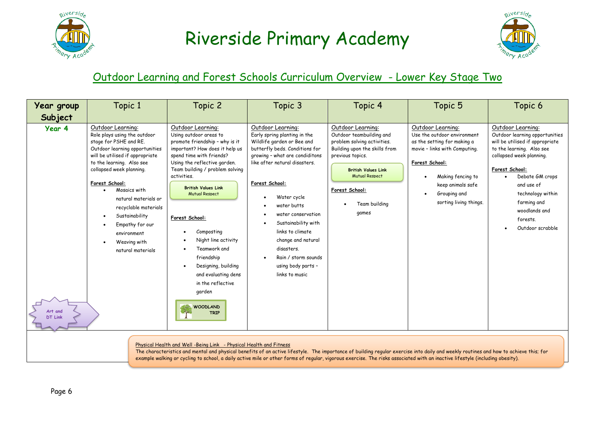



#### Outdoor Learning and Forest Schools Curriculum Overview - Lower Key Stage Two

| Year group                          | Topic 1                                                                                                                                                                                                                                                                                                                                                                                                                                    | Topic 2                                                                                                                                                                                                                                                                                                                                                                                                                                                                                  | Topic 3                                                                                                                                                                                                                                                                                                                                                                                                  | Topic 4                                                                                                                                                                                                                              | Topic 5                                                                                                                                                                                                                | Topic 6                                                                                                                                                                                                                                                                                 |  |
|-------------------------------------|--------------------------------------------------------------------------------------------------------------------------------------------------------------------------------------------------------------------------------------------------------------------------------------------------------------------------------------------------------------------------------------------------------------------------------------------|------------------------------------------------------------------------------------------------------------------------------------------------------------------------------------------------------------------------------------------------------------------------------------------------------------------------------------------------------------------------------------------------------------------------------------------------------------------------------------------|----------------------------------------------------------------------------------------------------------------------------------------------------------------------------------------------------------------------------------------------------------------------------------------------------------------------------------------------------------------------------------------------------------|--------------------------------------------------------------------------------------------------------------------------------------------------------------------------------------------------------------------------------------|------------------------------------------------------------------------------------------------------------------------------------------------------------------------------------------------------------------------|-----------------------------------------------------------------------------------------------------------------------------------------------------------------------------------------------------------------------------------------------------------------------------------------|--|
| Subject                             |                                                                                                                                                                                                                                                                                                                                                                                                                                            |                                                                                                                                                                                                                                                                                                                                                                                                                                                                                          |                                                                                                                                                                                                                                                                                                                                                                                                          |                                                                                                                                                                                                                                      |                                                                                                                                                                                                                        |                                                                                                                                                                                                                                                                                         |  |
| Year 4<br>Art and<br><b>DT Link</b> | Outdoor Learning:<br>Role plays using the outdoor<br>stage for PSHE and RE.<br>Outdoor learning opportunities<br>will be utilised if appropriate<br>to the learning. Also see<br>collapsed week planning.<br>Forest School:<br>Mosaics with<br>natural materials or<br>recyclable materials<br>Sustainability<br>Empathy for our<br>environment<br>Weaving with<br>natural materials                                                       | Outdoor Learning:<br>Using outdoor areas to<br>promote friendship - why is it<br>important? How does it help us<br>spend time with friends?<br>Using the reflective garden.<br>Team building / problem solving<br>activities.<br><b>British Values Link</b><br><b>Mutual Respect</b><br>Forest School:<br>Composting<br>Night line activity<br>Teamwork and<br>friendship<br>Designing, building<br>and evaluating dens<br>in the reflective<br>garden<br><b>WOODLAND</b><br><b>TRIP</b> | Outdoor Learning:<br>Early spring planting in the<br>Wildlife garden or Bee and<br>butterfly beds. Conditions for<br>growing - what are condiditons<br>like after natural disasters.<br>Forest School:<br>Water cycle<br>water butts<br>water conservation<br>Sustainability with<br>links to climate<br>change and natural<br>disasters.<br>Rain / storm sounds<br>using body parts -<br>links to music | Outdoor Learning:<br>Outdoor teambuilding and<br>problem solving activities.<br>Building upon the skills from<br>previous topics.<br><b>British Values Link</b><br><b>Mutual Respect</b><br>Forest School:<br>Team building<br>games | Outdoor Learning:<br>Use the outdoor environment<br>as the setting for making a<br>movie - links with Computing.<br>Forest School:<br>Making fencing to<br>keep animals safe<br>Grouping and<br>sorting living things. | Outdoor Learning:<br>Outdoor learning opportunities<br>will be utilised if appropriate<br>to the learning. Also see<br>collapsed week planning.<br>Forest School:<br>Debate GM crops<br>and use of<br>technology within<br>farming and<br>woodlands and<br>forests.<br>Outdoor scrabble |  |
|                                     | Physical Health and Well -Being Link - Physical Health and Fitness<br>The characteristics and mental and physical benefits of an active lifestyle. The importance of building regular exercise into daily and weekly routines and how to achieve this; for<br>example walking or cycling to school, a daily active mile or other forms of reqular, vigorous exercise. The risks associated with an inactive lifestyle (including obesity). |                                                                                                                                                                                                                                                                                                                                                                                                                                                                                          |                                                                                                                                                                                                                                                                                                                                                                                                          |                                                                                                                                                                                                                                      |                                                                                                                                                                                                                        |                                                                                                                                                                                                                                                                                         |  |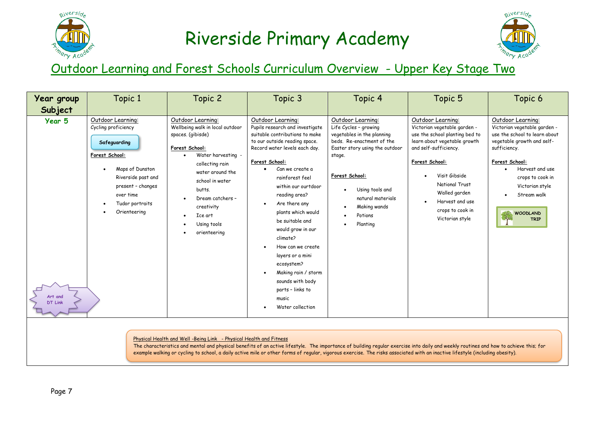



### Outdoor Learning and Forest Schools Curriculum Overview - Upper Key Stage Two

| Year group                                                                                                                                                                                                                                                                                                                                                                                                                                | Topic 1                                                                                                                                                                                  | Topic 2                                                                                                                                                                                                                                                           | Topic 3                                                                                                                                                                                                                                                                                                                                                                                                                                                                                                             | Topic 4                                                                                                                                                                                                                                            | Topic 5                                                                                                                                                                                                                                                                      | Topic 6                                                                                                                                                                                                                                                                    |
|-------------------------------------------------------------------------------------------------------------------------------------------------------------------------------------------------------------------------------------------------------------------------------------------------------------------------------------------------------------------------------------------------------------------------------------------|------------------------------------------------------------------------------------------------------------------------------------------------------------------------------------------|-------------------------------------------------------------------------------------------------------------------------------------------------------------------------------------------------------------------------------------------------------------------|---------------------------------------------------------------------------------------------------------------------------------------------------------------------------------------------------------------------------------------------------------------------------------------------------------------------------------------------------------------------------------------------------------------------------------------------------------------------------------------------------------------------|----------------------------------------------------------------------------------------------------------------------------------------------------------------------------------------------------------------------------------------------------|------------------------------------------------------------------------------------------------------------------------------------------------------------------------------------------------------------------------------------------------------------------------------|----------------------------------------------------------------------------------------------------------------------------------------------------------------------------------------------------------------------------------------------------------------------------|
| Subject                                                                                                                                                                                                                                                                                                                                                                                                                                   |                                                                                                                                                                                          |                                                                                                                                                                                                                                                                   |                                                                                                                                                                                                                                                                                                                                                                                                                                                                                                                     |                                                                                                                                                                                                                                                    |                                                                                                                                                                                                                                                                              |                                                                                                                                                                                                                                                                            |
| Year 5<br>Art and<br><b>DT Link</b>                                                                                                                                                                                                                                                                                                                                                                                                       | Outdoor Learning:<br>Cycling proficiency<br>Safeguarding<br>Forest School:<br>Maps of Dunston<br>Riverside past and<br>present - changes<br>over time<br>Tudor portraits<br>Orienteering | Outdoor Learning:<br>Wellbeing walk in local outdoor<br>spaces. (gibisde)<br>Forest School:<br>Water harvesting -<br>collecting rain<br>water around the<br>school in water<br>butts.<br>Dream catchers -<br>creativity<br>Ice art<br>Using tools<br>orienteering | Outdoor Learning:<br>Pupils research and investigate<br>suitable contributions to make<br>to our outside reading space.<br>Record water levels each day.<br>Forest School:<br>Can we create a<br>$\bullet$<br>rainforest feel<br>within our ourtdoor<br>reading area?<br>Are there any<br>plants which would<br>be suitable and<br>would grow in our<br>climate?<br>How can we create<br>layers or a mini<br>ecosystem?<br>Making rain / storm<br>sounds with body<br>parts - links to<br>music<br>Water collection | Outdoor Learning:<br>Life Cycles - growing<br>vegetables in the planning<br>beds. Re-enactment of the<br>Easter story using the outdoor<br>stage.<br>Forest School:<br>Using tools and<br>natural materials<br>Making wands<br>Potions<br>Planting | Outdoor Learning:<br>Victorian vegetable garden -<br>use the school planting bed to<br>learn about vegetable growth<br>and self-sufficiency.<br>Forest School:<br>Visit Gibside<br>National Trust<br>Walled garden<br>Harvest and use<br>crops to cook in<br>Victorian style | Outdoor Learning:<br>Victorian vegetable garden -<br>use the school to learn about<br>vegetable growth and self-<br>sufficiency.<br>Forest School:<br>Harvest and use<br>$\bullet$<br>crops to cook in<br>Victorian style<br>Stream walk<br><b>WOODLAND</b><br><b>TRIP</b> |
| Physical Health and Well-Being Link - Physical Health and Fitness<br>The characteristics and mental and physical benefits of an active lifestyle. The importance of building regular exercise into daily and weekly routines and how to achieve this; for<br>example walking or cycling to school, a daily active mile or other forms of regular, vigorous exercise. The risks associated with an inactive lifestyle (including obesity). |                                                                                                                                                                                          |                                                                                                                                                                                                                                                                   |                                                                                                                                                                                                                                                                                                                                                                                                                                                                                                                     |                                                                                                                                                                                                                                                    |                                                                                                                                                                                                                                                                              |                                                                                                                                                                                                                                                                            |